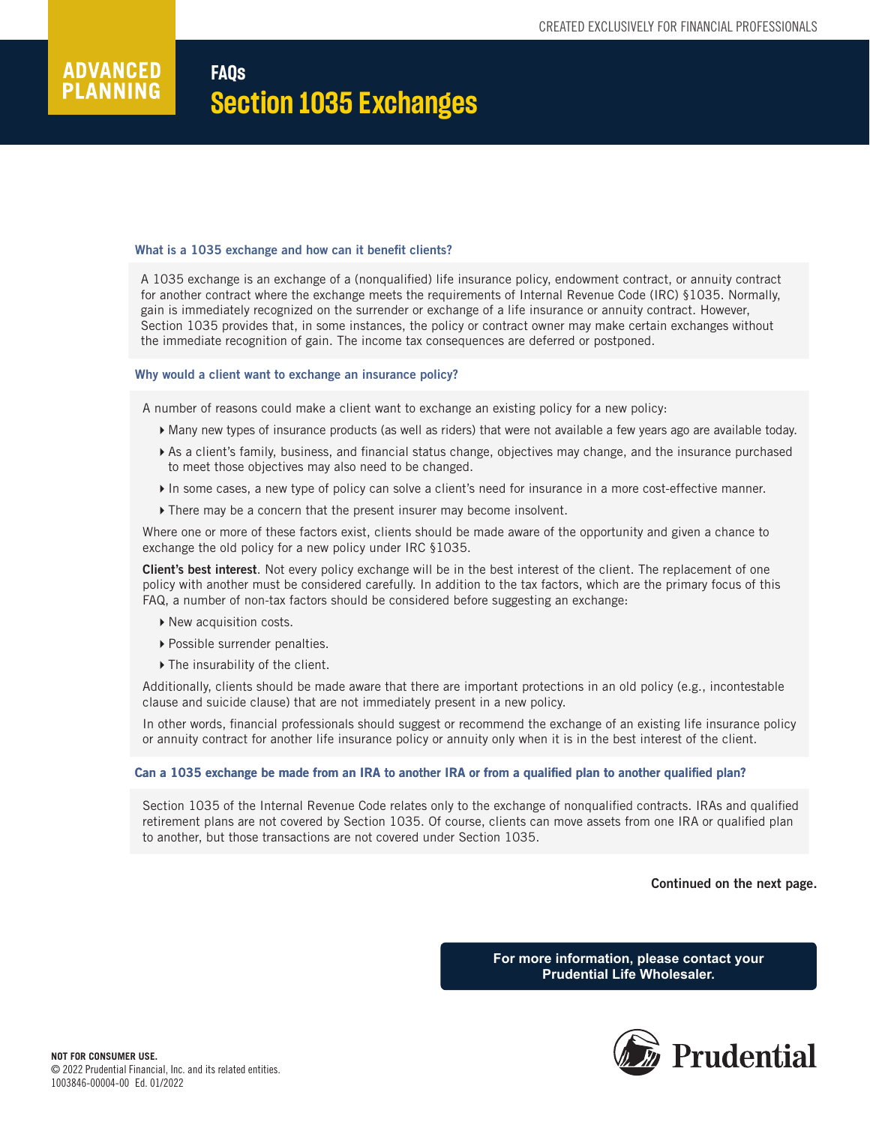# **ADVANCED FAQs PLANNING Section 1035 Exchanges**

# What is a 1035 exchange and how can it benefit clients?

A 1035 exchange is an exchange of a (nonqualified) life insurance policy, endowment contract, or annuity contract for another contract where the exchange meets the requirements of Internal Revenue Code (IRC) §1035. Normally, gain is immediately recognized on the surrender or exchange of a life insurance or annuity contract. However, Section 1035 provides that, in some instances, the policy or contract owner may make certain exchanges without the immediate recognition of gain. The income tax consequences are deferred or postponed.

## Why would a client want to exchange an insurance policy?

A number of reasons could make a client want to exchange an existing policy for a new policy:

- Many new types of insurance products (as well as riders) that were not available a few years ago are available today.
- As a client's family, business, and financial status change, objectives may change, and the insurance purchased to meet those objectives may also need to be changed.
- In some cases, a new type of policy can solve a client's need for insurance in a more cost-effective manner.
- There may be a concern that the present insurer may become insolvent.

Where one or more of these factors exist, clients should be made aware of the opportunity and given a chance to exchange the old policy for a new policy under IRC §1035.

Client's best interest. Not every policy exchange will be in the best interest of the client. The replacement of one policy with another must be considered carefully. In addition to the tax factors, which are the primary focus of this FAQ, a number of non-tax factors should be considered before suggesting an exchange:

- ▶ New acquisition costs.
- ▶ Possible surrender penalties.
- ▶ The insurability of the client.

Additionally, clients should be made aware that there are important protections in an old policy (e.g., incontestable clause and suicide clause) that are not immediately present in a new policy.

In other words, financial professionals should suggest or recommend the exchange of an existing life insurance policy or annuity contract for another life insurance policy or annuity only when it is in the best interest of the client.

# Can a 1035 exchange be made from an IRA to another IRA or from a qualified plan to another qualified plan?

Section 1035 of the Internal Revenue Code relates only to the exchange of nonqualified contracts. IRAs and qualified retirement plans are not covered by Section 1035. Of course, clients can move assets from one IRA or qualified plan to another, but those transactions are not covered under Section 1035.

Continued on the next page.

**For more information, please contact your Prudential Life Wholesaler.**

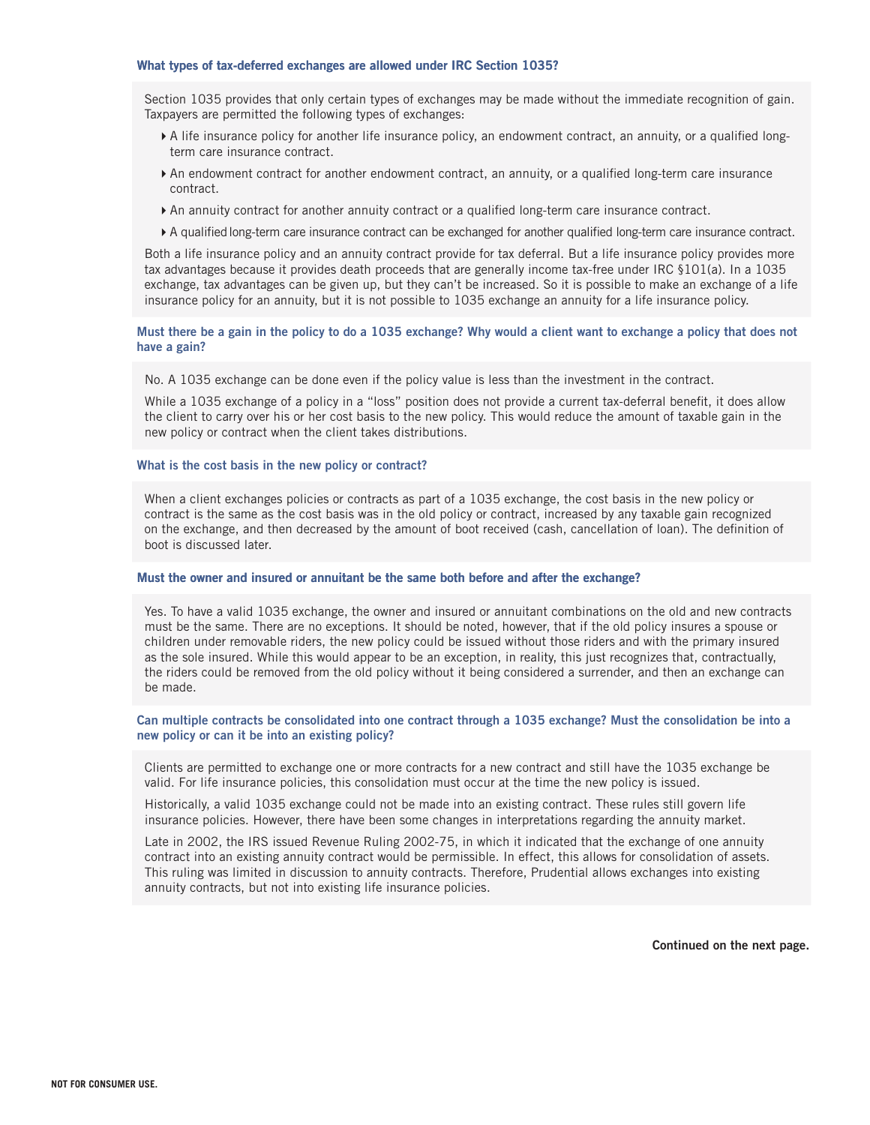## What types of tax-deferred exchanges are allowed under IRC Section 1035? 1035?

Section 1035 provides that only certain types of exchanges may be made without the immediate recognition of gain. Taxpayers are permitted the following types of exchanges:

- A life insurance policy for another life insurance policy, an endowment contract, an annuity, or a qualified longterm care insurance contract.
- An endowment contract for another endowment contract, an annuity, or a qualified long-term care insurance contract.
- An annuity contract for another annuity contract or a qualified long-term care insurance contract.
- A qualified long-term care insurance contract can be exchanged for another qualified long-term care insurance contract.

Both a life insurance policy and an annuity contract provide for tax deferral. But a life insurance policy provides more tax advantages because it provides death proceeds that are generally income tax-free under IRC §101(a). In a 1035 exchange, tax advantages can be given up, but they can't be increased. So it is possible to make an exchange of a life insurance policy for an annuity, but it is not possible to 1035 exchange an annuity for a life insurance policy.

## Must there be a gain in the policy to do a 1035 exchange? Why would a client want to exchange a policy that does not have a gain?

No. A 1035 exchange can be done even if the policy value is less than the investment in the contract.

While a 1035 exchange of a policy in a "loss" position does not provide a current tax-deferral benefit, it does allow the client to carry over his or her cost basis to the new policy. This would reduce the amount of taxable gain in the new policy or contract when the client takes distributions.

## What is the cost basis in the new policy or contract?

When a client exchanges policies or contracts as part of a 1035 exchange, the cost basis in the new policy or contract is the same as the cost basis was in the old policy or contract, increased by any taxable gain recognized on the exchange, and then decreased by the amount of boot received (cash, cancellation of loan). The definition of boot is discussed later.

### Must the owner and insured or annuitant be the same both before and after the exchange?

Yes. To have a valid 1035 exchange, the owner and insured or annuitant combinations on the old and new contracts must be the same. There are no exceptions. It should be noted, however, that if the old policy insures a spouse or children under removable riders, the new policy could be issued without those riders and with the primary insured as the sole insured. While this would appear to be an exception, in reality, this just recognizes that, contractually, the riders could be removed from the old policy without it being considered a surrender, and then an exchange can be made.

# Can multiple contracts be consolidated into one contract through a 1035 exchange? Must the consolidation be into a new policy or can it be into an existing policy?

Clients are permitted to exchange one or more contracts for a new contract and still have the 1035 exchange be valid. For life insurance policies, this consolidation must occur at the time the new policy is issued.

Historically, a valid 1035 exchange could not be made into an existing contract. These rules still govern life insurance policies. However, there have been some changes in interpretations regarding the annuity market.

Late in 2002, the IRS issued Revenue Ruling 2002-75, in which it indicated that the exchange of one annuity contract into an existing annuity contract would be permissible. In effect, this allows for consolidation of assets. This ruling was limited in discussion to annuity contracts. Therefore, Prudential allows exchanges into existing annuity contracts, but not into existing life insurance policies.

Continued on the next page.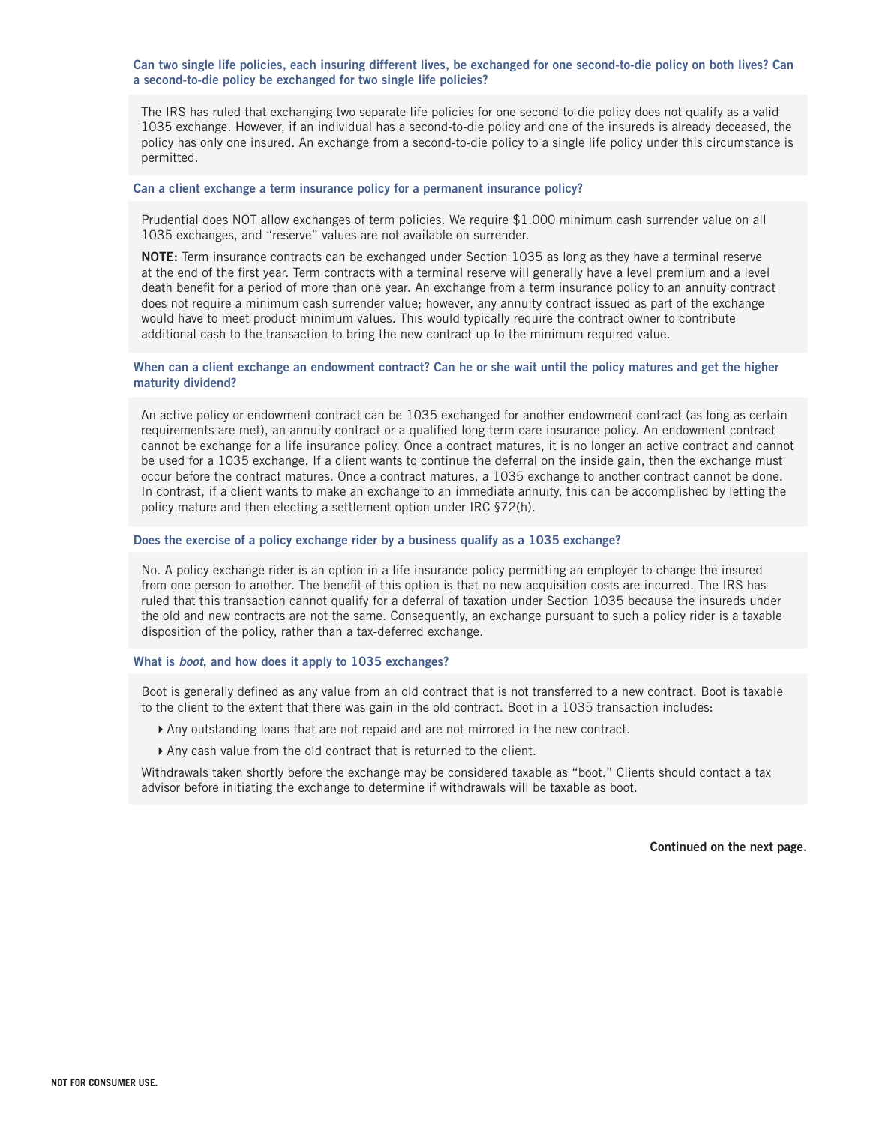Can two single life policies, each insuring different lives, be exchanged for one second-to-die policy on both lives? Can a second-to-die policy be exchanged for two single life policies?

The IRS has ruled that exchanging two separate life policies for one second-to-die policy does not qualify as a valid 1035 exchange. However, if an individual has a second-to-die policy and one of the insureds is already deceased, the policy has only one insured. An exchange from a second-to-die policy to a single life policy under this circumstance is permitted.

## Can a client exchange a term insurance policy for a permanent insurance policy?

Prudential does NOT allow exchanges of term policies. We require \$1,000 minimum cash surrender value on all 1035 exchanges, and "reserve" values are not available on surrender.

NOTE: Term insurance contracts can be exchanged under Section 1035 as long as they have a terminal reserve at the end of the first year. Term contracts with a terminal reserve will generally have a level premium and a level death benefit for a period of more than one year. An exchange from a term insurance policy to an annuity contract does not require a minimum cash surrender value; however, any annuity contract issued as part of the exchange would have to meet product minimum values. This would typically require the contract owner to contribute additional cash to the transaction to bring the new contract up to the minimum required value.

## When can a client exchange an endowment contract? Can he or she wait until the policy matures and get the higher maturity dividend?

An active policy or endowment contract can be 1035 exchanged for another endowment contract (as long as certain requirements are met), an annuity contract or a qualified long-term care insurance policy. An endowment contract cannot be exchange for a life insurance policy. Once a contract matures, it is no longer an active contract and cannot be used for a 1035 exchange. If a client wants to continue the deferral on the inside gain, then the exchange must occur before the contract matures. Once a contract matures, a 1035 exchange to another contract cannot be done. In contrast, if a client wants to make an exchange to an immediate annuity, this can be accomplished by letting the policy mature and then electing a settlement option under IRC §72(h).

## Does the exercise of a policy exchange rider by a business qualify as a 1035 exchange?

No. A policy exchange rider is an option in a life insurance policy permitting an employer to change the insured from one person to another. The benefit of this option is that no new acquisition costs are incurred. The IRS has ruled that this transaction cannot qualify for a deferral of taxation under Section 1035 because the insureds under the old and new contracts are not the same. Consequently, an exchange pursuant to such a policy rider is a taxable disposition of the policy, rather than a tax-deferred exchange.

# What is *boot*, and how does it apply to 1035 exchanges?

Boot is generally defined as any value from an old contract that is not transferred to a new contract. Boot is taxable to the client to the extent that there was gain in the old contract. Boot in a 1035 transaction includes:

- Any outstanding loans that are not repaid and are not mirrored in the new contract.
- Any cash value from the old contract that is returned to the client.

Withdrawals taken shortly before the exchange may be considered taxable as "boot." Clients should contact a tax advisor before initiating the exchange to determine if withdrawals will be taxable as boot.

Continued on the next page.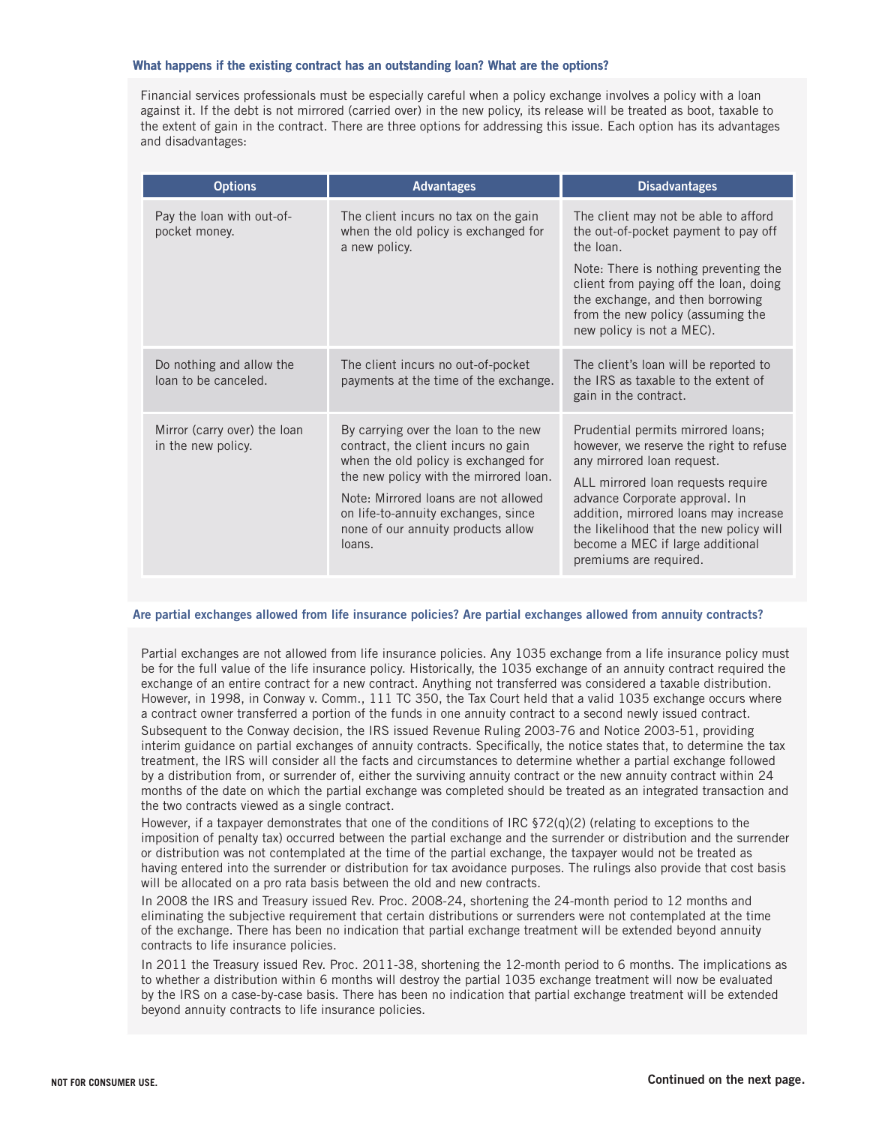## What happens if the existing contract has an outstanding loan? What are the options?

Financial services professionals must be especially careful when a policy exchange involves a policy with a loan against it. If the debt is not mirrored (carried over) in the new policy, its release will be treated as boot, taxable to the extent of gain in the contract. There are three options for addressing this issue. Each option has its advantages and disadvantages:

| <b>Options</b>                                     | <b>Advantages</b>                                                                                                                                                                                                                                                                            | <b>Disadvantages</b>                                                                                                                                                                                                                                                                                                                  |
|----------------------------------------------------|----------------------------------------------------------------------------------------------------------------------------------------------------------------------------------------------------------------------------------------------------------------------------------------------|---------------------------------------------------------------------------------------------------------------------------------------------------------------------------------------------------------------------------------------------------------------------------------------------------------------------------------------|
| Pay the loan with out-of-<br>pocket money.         | The client incurs no tax on the gain<br>when the old policy is exchanged for<br>a new policy.                                                                                                                                                                                                | The client may not be able to afford<br>the out-of-pocket payment to pay off<br>the loan.                                                                                                                                                                                                                                             |
|                                                    |                                                                                                                                                                                                                                                                                              | Note: There is nothing preventing the<br>client from paying off the loan, doing<br>the exchange, and then borrowing<br>from the new policy (assuming the<br>new policy is not a MEC).                                                                                                                                                 |
| Do nothing and allow the<br>loan to be canceled.   | The client incurs no out-of-pocket<br>payments at the time of the exchange.                                                                                                                                                                                                                  | The client's loan will be reported to<br>the IRS as taxable to the extent of<br>gain in the contract.                                                                                                                                                                                                                                 |
| Mirror (carry over) the loan<br>in the new policy. | By carrying over the loan to the new<br>contract, the client incurs no gain<br>when the old policy is exchanged for<br>the new policy with the mirrored loan.<br>Note: Mirrored loans are not allowed<br>on life-to-annuity exchanges, since<br>none of our annuity products allow<br>loans. | Prudential permits mirrored loans;<br>however, we reserve the right to refuse<br>any mirrored loan request.<br>ALL mirrored loan requests require<br>advance Corporate approval. In<br>addition, mirrored loans may increase<br>the likelihood that the new policy will<br>become a MEC if large additional<br>premiums are required. |

## Are partial exchanges allowed from life insurance policies? Are partial exchanges allowed from annuity contracts?

Partial exchanges are not allowed from life insurance policies. Any 1035 exchange from a life insurance policy must be for the full value of the life insurance policy. Historically, the 1035 exchange of an annuity contract required the exchange of an entire contract for a new contract. Anything not transferred was considered a taxable distribution. However, in 1998, in Conway v. Comm., 111 TC 350, the Tax Court held that a valid 1035 exchange occurs where a contract owner transferred a portion of the funds in one annuity contract to a second newly issued contract.

Subsequent to the Conway decision, the IRS issued Revenue Ruling 2003-76 and Notice 2003-51, providing interim guidance on partial exchanges of annuity contracts. Specifically, the notice states that, to determine the tax treatment, the IRS will consider all the facts and circumstances to determine whether a partial exchange followed by a distribution from, or surrender of, either the surviving annuity contract or the new annuity contract within 24 months of the date on which the partial exchange was completed should be treated as an integrated transaction and the two contracts viewed as a single contract.

However, if a taxpayer demonstrates that one of the conditions of IRC §72(q)(2) (relating to exceptions to the imposition of penalty tax) occurred between the partial exchange and the surrender or distribution and the surrender or distribution was not contemplated at the time of the partial exchange, the taxpayer would not be treated as having entered into the surrender or distribution for tax avoidance purposes. The rulings also provide that cost basis will be allocated on a pro rata basis between the old and new contracts.

In 2008 the IRS and Treasury issued Rev. Proc. 2008-24, shortening the 24-month period to 12 months and eliminating the subjective requirement that certain distributions or surrenders were not contemplated at the time of the exchange. There has been no indication that partial exchange treatment will be extended beyond annuity contracts to life insurance policies.

In 2011 the Treasury issued Rev. Proc. 2011-38, shortening the 12-month period to 6 months. The implications as to whether a distribution within 6 months will destroy the partial 1035 exchange treatment will now be evaluated by the IRS on a case-by-case basis. There has been no indication that partial exchange treatment will be extended beyond annuity contracts to life insurance policies.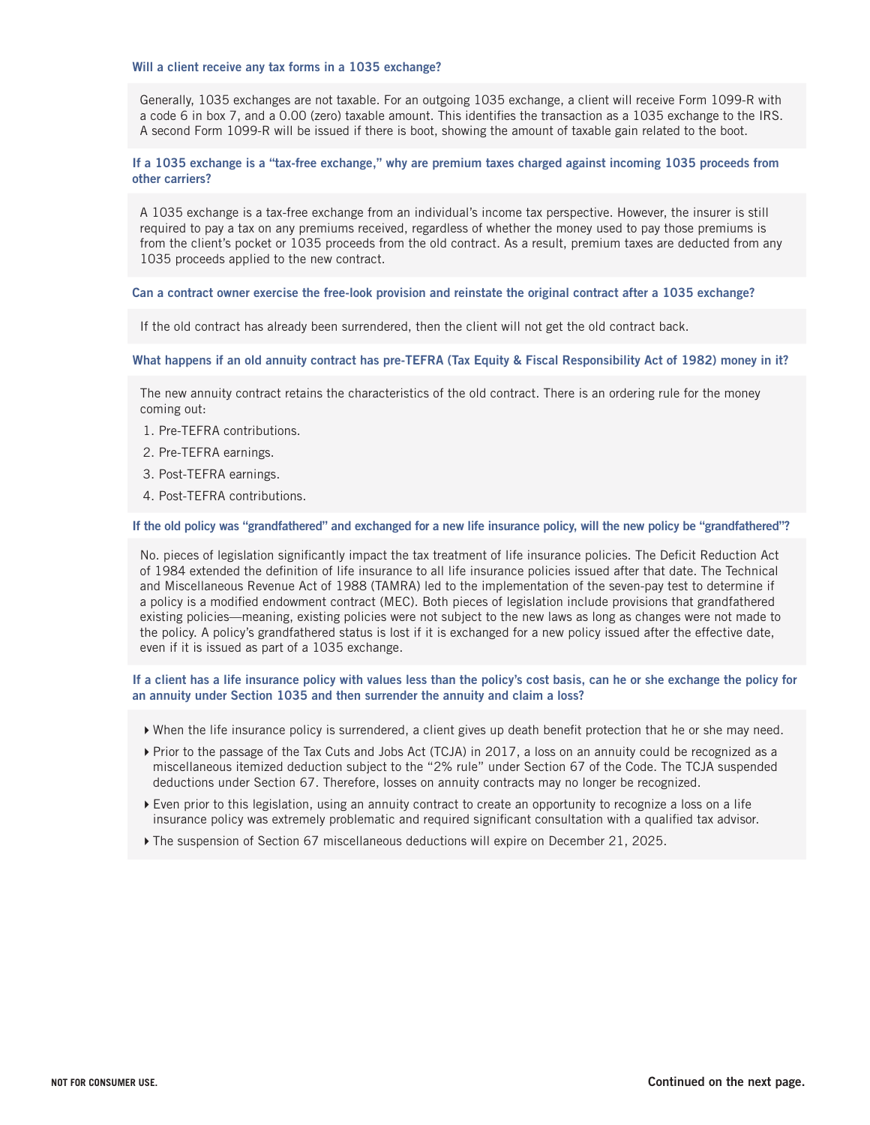## Will a client receive any tax forms in a 1035 exchange?

Generally, 1035 exchanges are not taxable. For an outgoing 1035 exchange, a client will receive Form 1099-R with a code 6 in box 7, and a 0.00 (zero) taxable amount. This identifies the transaction as a 1035 exchange to the IRS. A second Form 1099-R will be issued if there is boot, showing the amount of taxable gain related to the boot.

## If a 1035 exchange is a "tax-free exchange," why are premium taxes charged against incoming 1035 proceeds from other carriers?

A 1035 exchange is a tax-free exchange from an individual's income tax perspective. However, the insurer is still required to pay a tax on any premiums received, regardless of whether the money used to pay those premiums is from the client's pocket or 1035 proceeds from the old contract. As a result, premium taxes are deducted from any 1035 proceeds applied to the new contract.

## Can a contract owner exercise the free-look provision and reinstate the original contract after a 1035 exchange?

If the old contract has already been surrendered, then the client will not get the old contract back.

What happens if an old annuity contract has pre-TEFRA (Tax Equity & Fiscal Responsibility Act of 1982) money in it?

The new annuity contract retains the characteristics of the old contract. There is an ordering rule for the money coming out:

- 1. Pre-TEFRA contributions.
- 2. Pre-TEFRA earnings.
- 3. Post-TEFRA earnings.
- 4. Post-TEFRA contributions.

## If the old policy was "grandfathered" and exchanged for a new life insurance policy, will the new policy be "grandfathered"?

No. pieces of legislation significantly impact the tax treatment of life insurance policies. The Deficit Reduction Act of 1984 extended the definition of life insurance to all life insurance policies issued after that date. The Technical and Miscellaneous Revenue Act of 1988 (TAMRA) led to the implementation of the seven-pay test to determine if a policy is a modified endowment contract (MEC). Both pieces of legislation include provisions that grandfathered existing policies—meaning, existing policies were not subject to the new laws as long as changes were not made to the policy. A policy's grandfathered status is lost if it is exchanged for a new policy issued after the effective date, even if it is issued as part of a 1035 exchange.

If a client has a life insurance policy with values less than the policy's cost basis, can he or she exchange the policy for an annuity under Section 1035 and then surrender the annuity and claim a loss?

- When the life insurance policy is surrendered, a client gives up death benefit protection that he or she may need.
- Prior to the passage of the Tax Cuts and Jobs Act (TCJA) in 2017, a loss on an annuity could be recognized as a miscellaneous itemized deduction subject to the "2% rule" under Section 67 of the Code. The TCJA suspended deductions under Section 67. Therefore, losses on annuity contracts may no longer be recognized.
- Even prior to this legislation, using an annuity contract to create an opportunity to recognize a loss on a life insurance policy was extremely problematic and required significant consultation with a qualified tax advisor.
- The suspension of Section 67 miscellaneous deductions will expire on December 21, 2025.